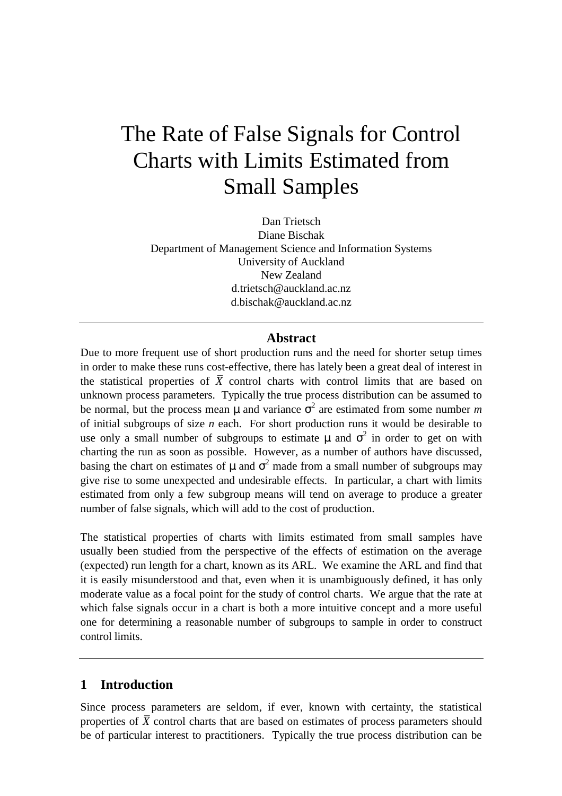# The Rate of False Signals for Control Charts with Limits Estimated from Small Samples

Dan Trietsch Diane Bischak Department of Management Science and Information Systems University of Auckland New Zealand d.trietsch@auckland.ac.nz d.bischak@auckland.ac.nz

#### **Abstract**

Due to more frequent use of short production runs and the need for shorter setup times in order to make these runs cost-effective, there has lately been a great deal of interest in the statistical properties of  $\overline{X}$  control charts with control limits that are based on unknown process parameters. Typically the true process distribution can be assumed to be normal, but the process mean  $\mu$  and variance  $\sigma^2$  are estimated from some number m of initial subgroups of size *n* each. For short production runs it would be desirable to use only a small number of subgroups to estimate  $\mu$  and  $\sigma^2$  in order to get on with charting the run as soon as possible. However, as a number of authors have discussed, basing the chart on estimates of  $\mu$  and  $\sigma^2$  made from a small number of subgroups may give rise to some unexpected and undesirable effects. In particular, a chart with limits estimated from only a few subgroup means will tend on average to produce a greater number of false signals, which will add to the cost of production.

The statistical properties of charts with limits estimated from small samples have usually been studied from the perspective of the effects of estimation on the average (expected) run length for a chart, known as its ARL. We examine the ARL and find that it is easily misunderstood and that, even when it is unambiguously defined, it has only moderate value as a focal point for the study of control charts. We argue that the rate at which false signals occur in a chart is both a more intuitive concept and a more useful one for determining a reasonable number of subgroups to sample in order to construct control limits.

### **1 Introduction**

Since process parameters are seldom, if ever, known with certainty, the statistical properties of  $\bar{X}$  control charts that are based on estimates of process parameters should be of particular interest to practitioners. Typically the true process distribution can be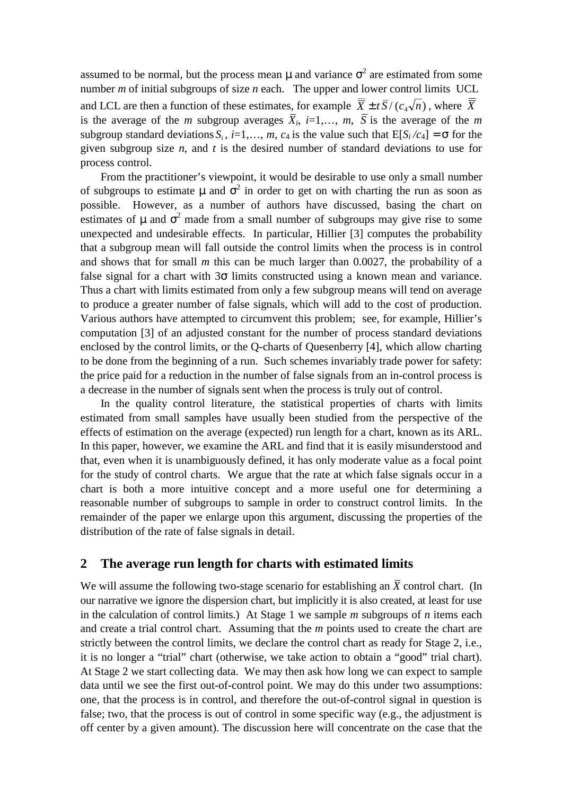assumed to be normal, but the process mean  $\mu$  and variance  $\sigma^2$  are estimated from some number *m* of initial subgroups of size *n* each. The upper and lower control limits UCL and LCL are then a function of these estimates, for example  $\overline{\overline{X}} \pm t \overline{S}/(c_4\sqrt{n})$ , where  $\overline{\overline{X}}$ is the average of the *m* subgroup averages  $\overline{X}_i$ ,  $i=1,..., m$ ,  $\overline{S}$  is the average of the *m* subgroup standard deviations  $S_i$ ,  $i=1,..., m$ ,  $c_4$  is the value such that  $E[S_i/c_4] = \sigma$  for the given subgroup size *n*, and *t* is the desired number of standard deviations to use for process control.

From the practitioner's viewpoint, it would be desirable to use only a small number of subgroups to estimate  $\mu$  and  $\sigma^2$  in order to get on with charting the run as soon as possible. However, as a number of authors have discussed, basing the chart on estimates of  $\mu$  and  $\sigma^2$  made from a small number of subgroups may give rise to some unexpected and undesirable effects. In particular, Hillier [3] computes the probability that a subgroup mean will fall outside the control limits when the process is in control and shows that for small *m* this can be much larger than 0.0027, the probability of a false signal for a chart with  $3\sigma$  limits constructed using a known mean and variance. Thus a chart with limits estimated from only a few subgroup means will tend on average to produce a greater number of false signals, which will add to the cost of production. Various authors have attempted to circumvent this problem; see, for example, Hillier's computation [3] of an adjusted constant for the number of process standard deviations enclosed by the control limits, or the Q-charts of Quesenberry [4], which allow charting to be done from the beginning of a run. Such schemes invariably trade power for safety: the price paid for a reduction in the number of false signals from an in-control process is a decrease in the number of signals sent when the process is truly out of control.

In the quality control literature, the statistical properties of charts with limits estimated from small samples have usually been studied from the perspective of the effects of estimation on the average (expected) run length for a chart, known as its ARL. In this paper, however, we examine the ARL and find that it is easily misunderstood and that, even when it is unambiguously defined, it has only moderate value as a focal point for the study of control charts. We argue that the rate at which false signals occur in a chart is both a more intuitive concept and a more useful one for determining a reasonable number of subgroups to sample in order to construct control limits. In the remainder of the paper we enlarge upon this argument, discussing the properties of the distribution of the rate of false signals in detail.

#### **2 The average run length for charts with estimated limits**

We will assume the following two-stage scenario for establishing an  $\bar{X}$  control chart. (In our narrative we ignore the dispersion chart, but implicitly it is also created, at least for use in the calculation of control limits.) At Stage 1 we sample *m* subgroups of *n* items each and create a trial control chart. Assuming that the *m* points used to create the chart are strictly between the control limits, we declare the control chart as ready for Stage 2, i.e., it is no longer a "trial" chart (otherwise, we take action to obtain a "good" trial chart). At Stage 2 we start collecting data. We may then ask how long we can expect to sample data until we see the first out-of-control point. We may do this under two assumptions: one, that the process is in control, and therefore the out-of-control signal in question is false; two, that the process is out of control in some specific way (e.g., the adjustment is off center by a given amount). The discussion here will concentrate on the case that the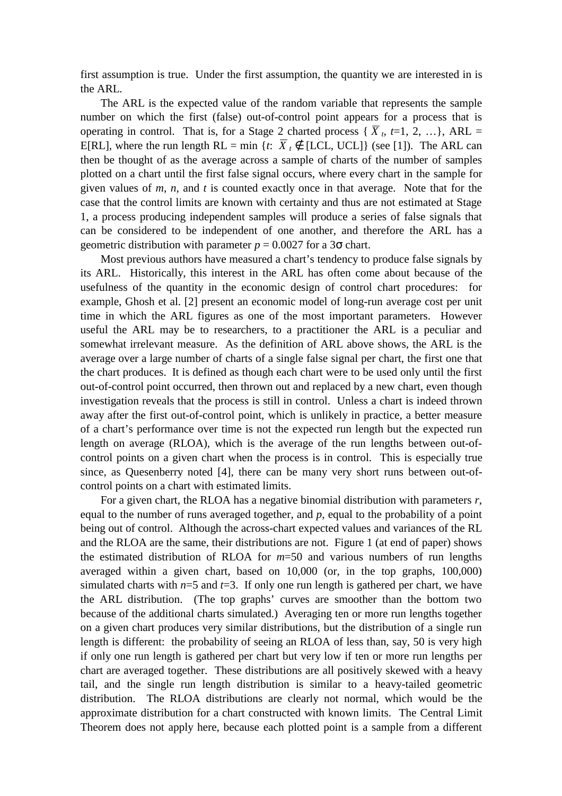first assumption is true. Under the first assumption, the quantity we are interested in is the ARL.

The ARL is the expected value of the random variable that represents the sample number on which the first (false) out-of-control point appears for a process that is operating in control. That is, for a Stage 2 charted process { $\overline{X}_t$ ,  $t=1, 2, ...$ }, ARL = E[RL], where the run length RL = min {*t*:  $\overline{X}_t \notin$  [LCL, UCL]} (see [1]). The ARL can then be thought of as the average across a sample of charts of the number of samples plotted on a chart until the first false signal occurs, where every chart in the sample for given values of *m*, *n*, and *t* is counted exactly once in that average. Note that for the case that the control limits are known with certainty and thus are not estimated at Stage 1, a process producing independent samples will produce a series of false signals that can be considered to be independent of one another, and therefore the ARL has a geometric distribution with parameter  $p = 0.0027$  for a  $3\sigma$  chart.

Most previous authors have measured a chart's tendency to produce false signals by its ARL. Historically, this interest in the ARL has often come about because of the usefulness of the quantity in the economic design of control chart procedures: for example, Ghosh et al. [2] present an economic model of long-run average cost per unit time in which the ARL figures as one of the most important parameters. However useful the ARL may be to researchers, to a practitioner the ARL is a peculiar and somewhat irrelevant measure. As the definition of ARL above shows, the ARL is the average over a large number of charts of a single false signal per chart, the first one that the chart produces. It is defined as though each chart were to be used only until the first out-of-control point occurred, then thrown out and replaced by a new chart, even though investigation reveals that the process is still in control. Unless a chart is indeed thrown away after the first out-of-control point, which is unlikely in practice, a better measure of a chart's performance over time is not the expected run length but the expected run length on average (RLOA), which is the average of the run lengths between out-ofcontrol points on a given chart when the process is in control. This is especially true since, as Quesenberry noted [4], there can be many very short runs between out-ofcontrol points on a chart with estimated limits.

For a given chart, the RLOA has a negative binomial distribution with parameters *r*, equal to the number of runs averaged together, and *p*, equal to the probability of a point being out of control. Although the across-chart expected values and variances of the RL and the RLOA are the same, their distributions are not. Figure 1 (at end of paper) shows the estimated distribution of RLOA for *m*=50 and various numbers of run lengths averaged within a given chart, based on 10,000 (or, in the top graphs, 100,000) simulated charts with  $n=5$  and  $t=3$ . If only one run length is gathered per chart, we have the ARL distribution. (The top graphs' curves are smoother than the bottom two because of the additional charts simulated.) Averaging ten or more run lengths together on a given chart produces very similar distributions, but the distribution of a single run length is different: the probability of seeing an RLOA of less than, say, 50 is very high if only one run length is gathered per chart but very low if ten or more run lengths per chart are averaged together. These distributions are all positively skewed with a heavy tail, and the single run length distribution is similar to a heavy-tailed geometric distribution. The RLOA distributions are clearly not normal, which would be the approximate distribution for a chart constructed with known limits. The Central Limit Theorem does not apply here, because each plotted point is a sample from a different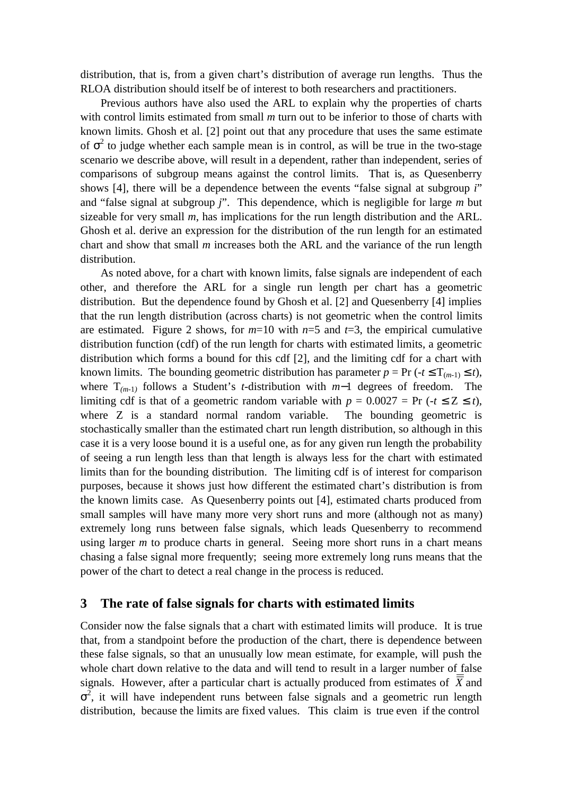distribution, that is, from a given chart's distribution of average run lengths. Thus the RLOA distribution should itself be of interest to both researchers and practitioners.

Previous authors have also used the ARL to explain why the properties of charts with control limits estimated from small *m* turn out to be inferior to those of charts with known limits. Ghosh et al. [2] point out that any procedure that uses the same estimate of  $\sigma^2$  to judge whether each sample mean is in control, as will be true in the two-stage scenario we describe above, will result in a dependent, rather than independent, series of comparisons of subgroup means against the control limits. That is, as Quesenberry shows [4], there will be a dependence between the events "false signal at subgroup *i*" and "false signal at subgroup *j*". This dependence, which is negligible for large *m* but sizeable for very small *m*, has implications for the run length distribution and the ARL. Ghosh et al. derive an expression for the distribution of the run length for an estimated chart and show that small *m* increases both the ARL and the variance of the run length distribution.

As noted above, for a chart with known limits, false signals are independent of each other, and therefore the ARL for a single run length per chart has a geometric distribution. But the dependence found by Ghosh et al. [2] and Quesenberry [4] implies that the run length distribution (across charts) is not geometric when the control limits are estimated. Figure 2 shows, for  $m=10$  with  $n=5$  and  $t=3$ , the empirical cumulative distribution function (cdf) of the run length for charts with estimated limits, a geometric distribution which forms a bound for this cdf [2], and the limiting cdf for a chart with known limits. The bounding geometric distribution has parameter  $p = Pr(-t \leq T_{(m-1)} \leq t)$ , where T*(m*-1*)* follows a Student's *t*-distribution with *m*−1 degrees of freedom. The limiting cdf is that of a geometric random variable with  $p = 0.0027 = Pr$  ( $-t \le Z \le t$ ), where Z is a standard normal random variable. The bounding geometric is stochastically smaller than the estimated chart run length distribution, so although in this case it is a very loose bound it is a useful one, as for any given run length the probability of seeing a run length less than that length is always less for the chart with estimated limits than for the bounding distribution. The limiting cdf is of interest for comparison purposes, because it shows just how different the estimated chart's distribution is from the known limits case. As Quesenberry points out [4], estimated charts produced from small samples will have many more very short runs and more (although not as many) extremely long runs between false signals, which leads Quesenberry to recommend using larger *m* to produce charts in general. Seeing more short runs in a chart means chasing a false signal more frequently; seeing more extremely long runs means that the power of the chart to detect a real change in the process is reduced.

#### **3 The rate of false signals for charts with estimated limits**

Consider now the false signals that a chart with estimated limits will produce. It is true that, from a standpoint before the production of the chart, there is dependence between these false signals, so that an unusually low mean estimate, for example, will push the whole chart down relative to the data and will tend to result in a larger number of false signals. However, after a particular chart is actually produced from estimates of  $\overline{X}$  and  $\sigma^2$ , it will have independent runs between false signals and a geometric run length distribution, because the limits are fixed values. This claim is true even if the control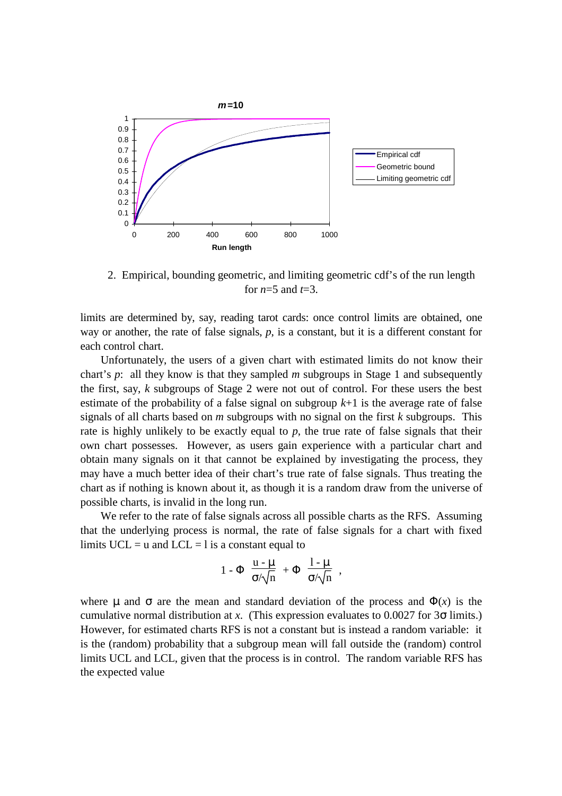

2. Empirical, bounding geometric, and limiting geometric cdf's of the run length for *n*=5 and *t*=3.

limits are determined by, say, reading tarot cards: once control limits are obtained, one way or another, the rate of false signals, *p*, is a constant, but it is a different constant for each control chart.

Unfortunately, the users of a given chart with estimated limits do not know their chart's *p*: all they know is that they sampled *m* subgroups in Stage 1 and subsequently the first, say, *k* subgroups of Stage 2 were not out of control. For these users the best estimate of the probability of a false signal on subgroup *k*+1 is the average rate of false signals of all charts based on *m* subgroups with no signal on the first *k* subgroups. This rate is highly unlikely to be exactly equal to *p*, the true rate of false signals that their own chart possesses. However, as users gain experience with a particular chart and obtain many signals on it that cannot be explained by investigating the process, they may have a much better idea of their chart's true rate of false signals. Thus treating the chart as if nothing is known about it, as though it is a random draw from the universe of possible charts, is invalid in the long run.

We refer to the rate of false signals across all possible charts as the RFS. Assuming that the underlying process is normal, the rate of false signals for a chart with fixed limits  $UCL = u$  and  $LCL = 1$  is a constant equal to

$$
1 - \Phi\left(\frac{u - \mu}{\sigma/\sqrt{n}}\right) + \Phi\left(\frac{1 - \mu}{\sigma/\sqrt{n}}\right),
$$

where  $\mu$  and  $\sigma$  are the mean and standard deviation of the process and  $\Phi(x)$  is the cumulative normal distribution at *x*. (This expression evaluates to 0.0027 for 3σ limits.) However, for estimated charts RFS is not a constant but is instead a random variable: it is the (random) probability that a subgroup mean will fall outside the (random) control limits UCL and LCL, given that the process is in control. The random variable RFS has the expected value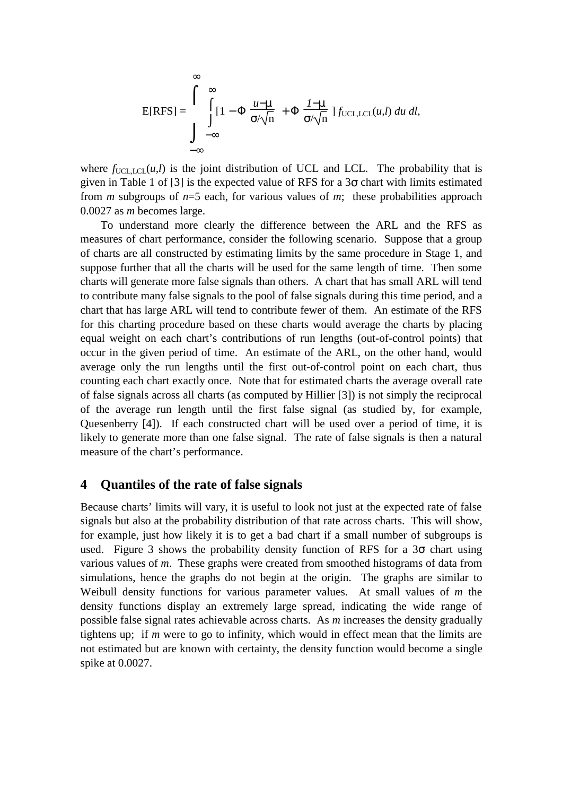$$
E[RFS] = \int_{-\infty}^{\infty} \int_{-\infty}^{\infty} [1 - \Phi\left(\frac{u - \mu}{\sigma/\sqrt{n}}\right) + \Phi\left(\frac{1 - \mu}{\sigma/\sqrt{n}}\right) f_{\text{UCL,LCL}}(u, l) \ du \ dl,
$$

where  $f_{\text{UCLLCL}}(u,l)$  is the joint distribution of UCL and LCL. The probability that is given in Table 1 of [3] is the expected value of RFS for a  $3\sigma$  chart with limits estimated from *m* subgroups of *n*=5 each, for various values of *m*; these probabilities approach 0.0027 as *m* becomes large.

To understand more clearly the difference between the ARL and the RFS as measures of chart performance, consider the following scenario. Suppose that a group of charts are all constructed by estimating limits by the same procedure in Stage 1, and suppose further that all the charts will be used for the same length of time. Then some charts will generate more false signals than others. A chart that has small ARL will tend to contribute many false signals to the pool of false signals during this time period, and a chart that has large ARL will tend to contribute fewer of them. An estimate of the RFS for this charting procedure based on these charts would average the charts by placing equal weight on each chart's contributions of run lengths (out-of-control points) that occur in the given period of time. An estimate of the ARL, on the other hand, would average only the run lengths until the first out-of-control point on each chart, thus counting each chart exactly once. Note that for estimated charts the average overall rate of false signals across all charts (as computed by Hillier [3]) is not simply the reciprocal of the average run length until the first false signal (as studied by, for example, Quesenberry [4]). If each constructed chart will be used over a period of time, it is likely to generate more than one false signal. The rate of false signals is then a natural measure of the chart's performance.

#### **4 Quantiles of the rate of false signals**

Because charts' limits will vary, it is useful to look not just at the expected rate of false signals but also at the probability distribution of that rate across charts. This will show, for example, just how likely it is to get a bad chart if a small number of subgroups is used. Figure 3 shows the probability density function of RFS for a  $3\sigma$  chart using various values of *m*. These graphs were created from smoothed histograms of data from simulations, hence the graphs do not begin at the origin. The graphs are similar to Weibull density functions for various parameter values. At small values of *m* the density functions display an extremely large spread, indicating the wide range of possible false signal rates achievable across charts. As *m* increases the density gradually tightens up; if *m* were to go to infinity, which would in effect mean that the limits are not estimated but are known with certainty, the density function would become a single spike at 0.0027.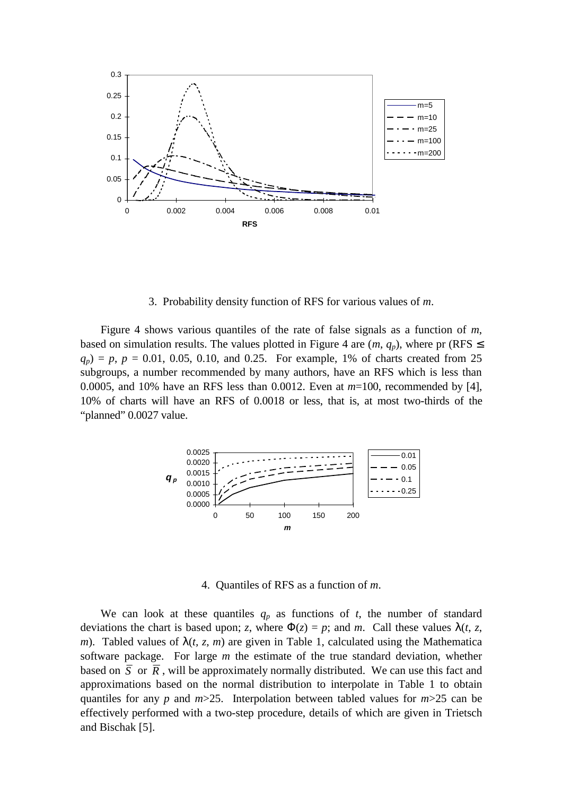

3. Probability density function of RFS for various values of *m*.

Figure 4 shows various quantiles of the rate of false signals as a function of *m*, based on simulation results. The values plotted in Figure 4 are  $(m, q_p)$ , where pr (RFS  $\leq$  $q_p$ ) = *p*, *p* = 0.01, 0.05, 0.10, and 0.25. For example, 1% of charts created from 25 subgroups, a number recommended by many authors, have an RFS which is less than 0.0005, and 10% have an RFS less than 0.0012. Even at *m*=100, recommended by [4], 10% of charts will have an RFS of 0.0018 or less, that is, at most two-thirds of the "planned" 0.0027 value.



4. Quantiles of RFS as a function of *m*.

We can look at these quantiles  $q_p$  as functions of  $t$ , the number of standard deviations the chart is based upon; *z*, where  $\Phi(z) = p$ ; and *m*. Call these values  $\lambda(t, z, z)$ *m*). Tabled values of  $\lambda(t, z, m)$  are given in Table 1, calculated using the Mathematica software package. For large *m* the estimate of the true standard deviation, whether based on  $\overline{S}$  or  $\overline{R}$ , will be approximately normally distributed. We can use this fact and approximations based on the normal distribution to interpolate in Table 1 to obtain quantiles for any *p* and *m*>25. Interpolation between tabled values for *m*>25 can be effectively performed with a two-step procedure, details of which are given in Trietsch and Bischak [5].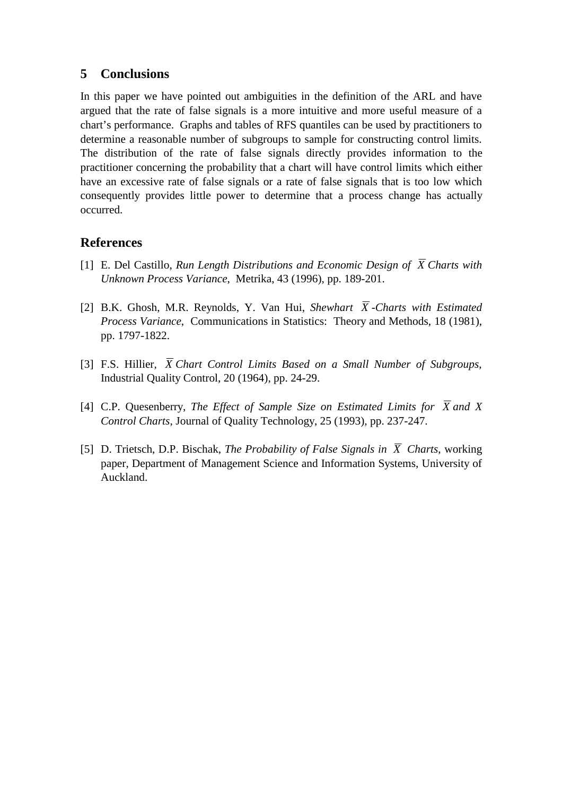## **5 Conclusions**

In this paper we have pointed out ambiguities in the definition of the ARL and have argued that the rate of false signals is a more intuitive and more useful measure of a chart's performance. Graphs and tables of RFS quantiles can be used by practitioners to determine a reasonable number of subgroups to sample for constructing control limits. The distribution of the rate of false signals directly provides information to the practitioner concerning the probability that a chart will have control limits which either have an excessive rate of false signals or a rate of false signals that is too low which consequently provides little power to determine that a process change has actually occurred.

## **References**

- [1] E. Del Castillo, *Run Length Distributions and Economic Design of*  $\overline{X}$  *Charts with Unknown Process Variance*, Metrika, 43 (1996), pp. 189-201.
- [2] B.K. Ghosh, M.R. Reynolds, Y. Van Hui, *Shewhart*  $\overline{X}$ *-Charts with Estimated Process Variance*, Communications in Statistics: Theory and Methods, 18 (1981), pp. 1797-1822.
- [3] F.S. Hillier, *X Chart Control Limits Based on a Small Number of Subgroups,* Industrial Quality Control, 20 (1964), pp. 24-29.
- [4] C.P. Quesenberry, *The Effect of Sample Size on Estimated Limits for*  $\overline{X}$  and X *Control Charts*, Journal of Quality Technology, 25 (1993), pp. 237-247.
- [5] D. Trietsch, D.P. Bischak, *The Probability of False Signals in*  $\overline{X}$  *Charts*, working paper, Department of Management Science and Information Systems, University of Auckland.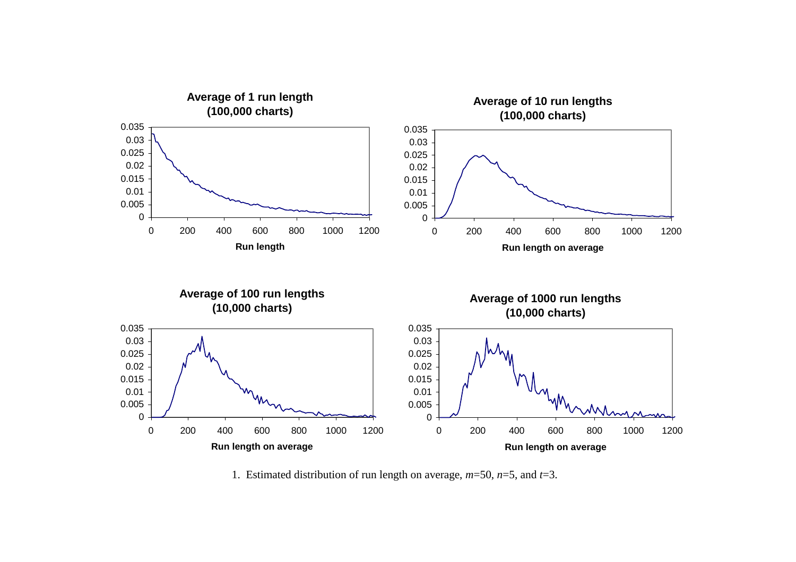

1. Estimated distribution of run length on average, *m*=50, *n*=5, and *t*=3.